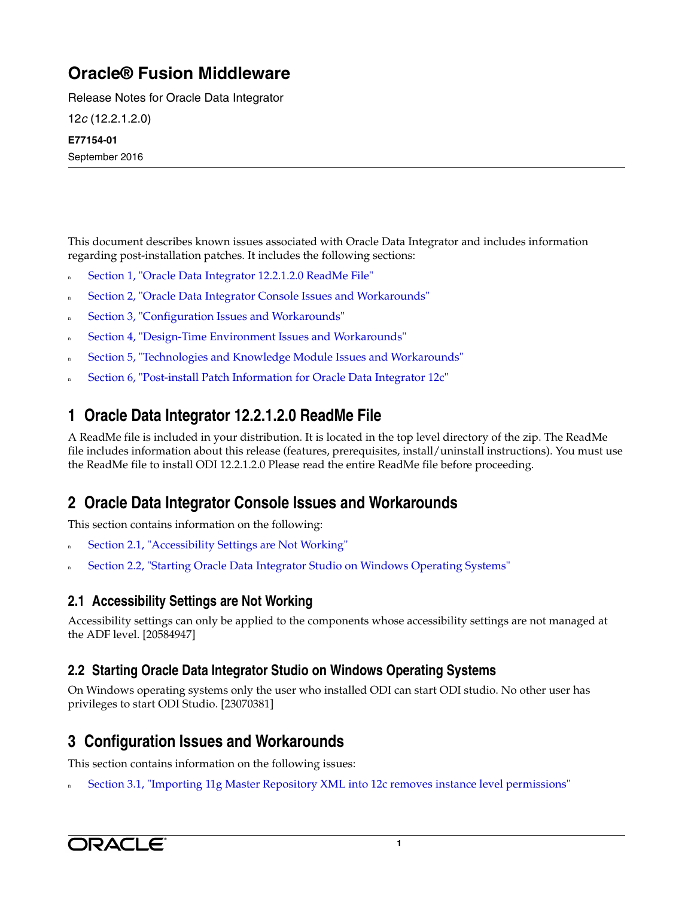# **Oracle® Fusion Middleware**

Release Notes for Oracle Data Integrator

12*c* (12.2.1.2.0)

#### **E77154-01**

September 2016

This document describes known issues associated with Oracle Data Integrator and includes information regarding post-installation patches. It includes the following sections:

- [Section 1, "Oracle Data Integrator 12.2.1.2.0 ReadMe File"](#page-0-0)
- [Section 2, "Oracle Data Integrator Console Issues and Workarounds"](#page-0-2)
- [Section 3, "Configuration Issues and Workarounds"](#page-0-3)
- [Section 4, "Design-Time Environment Issues and Workarounds"](#page-2-0)
- [Section 5, "Technologies and Knowledge Module Issues and Workarounds"](#page-3-0)
- [Section 6, "Post-install Patch Information for Oracle Data Integrator 12c"](#page-8-0)

## <span id="page-0-0"></span>**1 Oracle Data Integrator 12.2.1.2.0 ReadMe File**

A ReadMe file is included in your distribution. It is located in the top level directory of the zip. The ReadMe file includes information about this release (features, prerequisites, install/uninstall instructions). You must use the ReadMe file to install ODI 12.2.1.2.0 Please read the entire ReadMe file before proceeding.

## <span id="page-0-2"></span>**2 Oracle Data Integrator Console Issues and Workarounds**

This section contains information on the following:

- [Section 2.1, "Accessibility Settings are Not Working"](#page-0-1)
- [Section 2.2, "Starting Oracle Data Integrator Studio on Windows Operating Systems"](#page-0-4)

## <span id="page-0-1"></span>**2.1 Accessibility Settings are Not Working**

Accessibility settings can only be applied to the components whose accessibility settings are not managed at the ADF level. [20584947]

#### <span id="page-0-4"></span>**2.2 Starting Oracle Data Integrator Studio on Windows Operating Systems**

On Windows operating systems only the user who installed ODI can start ODI studio. No other user has privileges to start ODI Studio. [23070381]

## <span id="page-0-3"></span>**3 Configuration Issues and Workarounds**

This section contains information on the following issues:

<sup>n</sup> [Section 3.1, "Importing 11g Master Repository XML into 12c removes instance level permissions"](#page-1-0)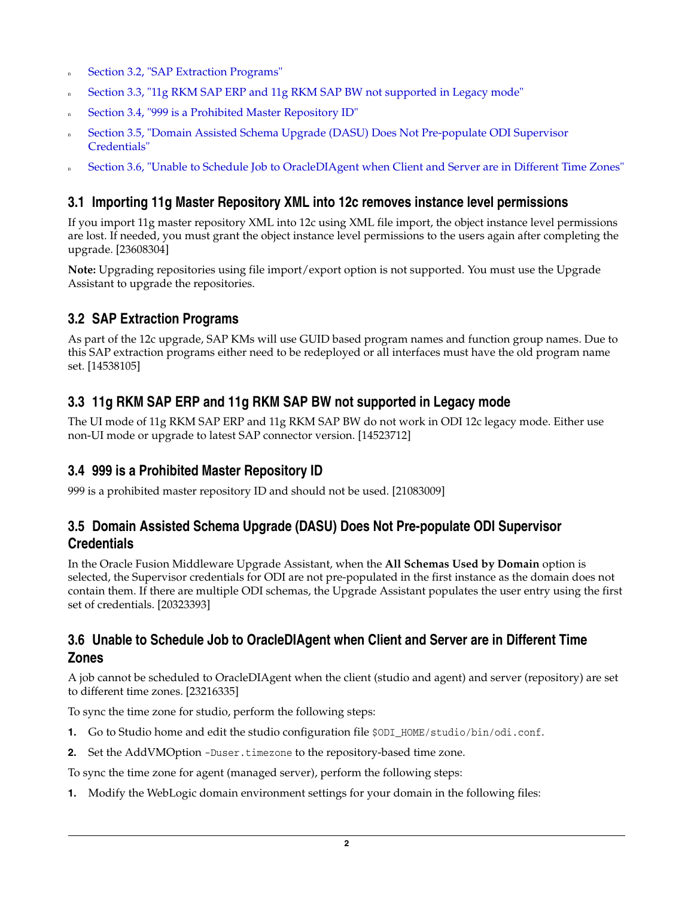- n [Section 3.2, "SAP Extraction Programs"](#page-1-4)
- [Section 3.3, "11g RKM SAP ERP and 11g RKM SAP BW not supported in Legacy mode"](#page-1-5)
- <sup>n</sup> [Section 3.4, "999 is a Prohibited Master Repository ID"](#page-1-1)
- <sup>n</sup> [Section 3.5, "Domain Assisted Schema Upgrade \(DASU\) Does Not Pre-populate ODI Supervisor](#page-1-2)  [Credentials"](#page-1-2)
- <sup>n</sup> [Section 3.6, "Unable to Schedule Job to OracleDIAgent when Client and Server are in Different Time Zones"](#page-1-3)

#### <span id="page-1-0"></span>**3.1 Importing 11g Master Repository XML into 12c removes instance level permissions**

If you import 11g master repository XML into 12c using XML file import, the object instance level permissions are lost. If needed, you must grant the object instance level permissions to the users again after completing the upgrade. [23608304]

**Note:** Upgrading repositories using file import/export option is not supported. You must use the Upgrade Assistant to upgrade the repositories.

## <span id="page-1-4"></span>**3.2 SAP Extraction Programs**

As part of the 12c upgrade, SAP KMs will use GUID based program names and function group names. Due to this SAP extraction programs either need to be redeployed or all interfaces must have the old program name set. [14538105]

## <span id="page-1-5"></span>**3.3 11g RKM SAP ERP and 11g RKM SAP BW not supported in Legacy mode**

The UI mode of 11g RKM SAP ERP and 11g RKM SAP BW do not work in ODI 12c legacy mode. Either use non-UI mode or upgrade to latest SAP connector version. [14523712]

#### <span id="page-1-1"></span>**3.4 999 is a Prohibited Master Repository ID**

999 is a prohibited master repository ID and should not be used. [21083009]

### <span id="page-1-2"></span>**3.5 Domain Assisted Schema Upgrade (DASU) Does Not Pre-populate ODI Supervisor Credentials**

In the Oracle Fusion Middleware Upgrade Assistant, when the **All Schemas Used by Domain** option is selected, the Supervisor credentials for ODI are not pre-populated in the first instance as the domain does not contain them. If there are multiple ODI schemas, the Upgrade Assistant populates the user entry using the first set of credentials. [20323393]

### <span id="page-1-3"></span>**3.6 Unable to Schedule Job to OracleDIAgent when Client and Server are in Different Time Zones**

A job cannot be scheduled to OracleDIAgent when the client (studio and agent) and server (repository) are set to different time zones. [23216335]

To sync the time zone for studio, perform the following steps:

- **1.** Go to Studio home and edit the studio configuration file \$0DI\_HOME/studio/bin/odi.conf.
- **2.** Set the AddVMOption -Duser.timezone to the repository-based time zone.

To sync the time zone for agent (managed server), perform the following steps:

**1.** Modify the WebLogic domain environment settings for your domain in the following files: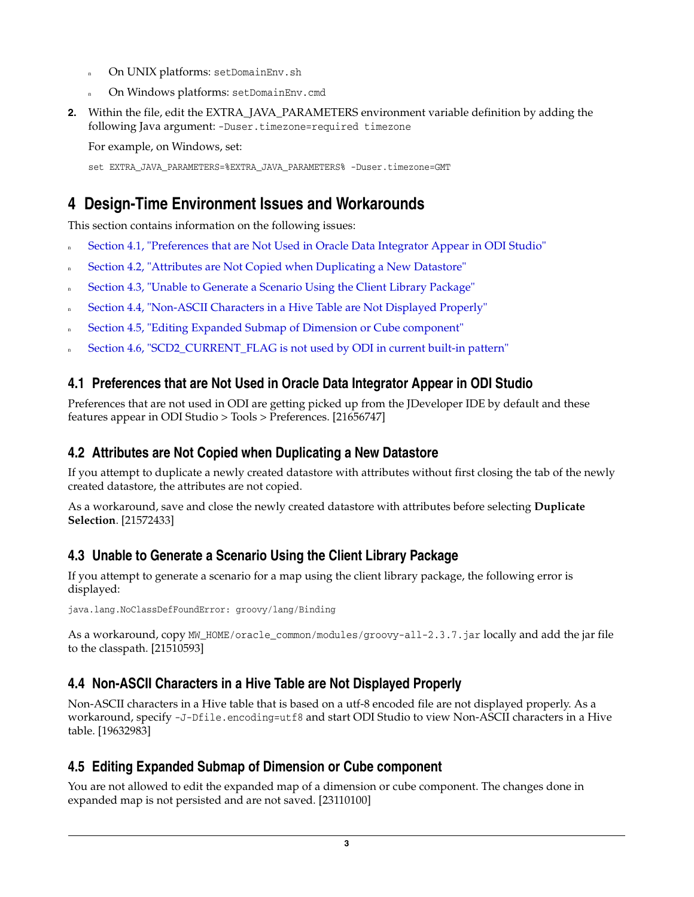- <sup>n</sup> On UNIX platforms: setDomainEnv.sh
- <sup>n</sup> On Windows platforms: setDomainEnv.cmd
- **2.** Within the file, edit the EXTRA\_JAVA\_PARAMETERS environment variable definition by adding the following Java argument: -Duser.timezone=required timezone

For example, on Windows, set:

set EXTRA\_JAVA\_PARAMETERS=%EXTRA\_JAVA\_PARAMETERS% -Duser.timezone=GMT

## <span id="page-2-0"></span>**4 Design-Time Environment Issues and Workarounds**

This section contains information on the following issues:

- <sup>n</sup> [Section 4.1, "Preferences that are Not Used in Oracle Data Integrator Appear in ODI Studio"](#page-2-1)
- [Section 4.2, "Attributes are Not Copied when Duplicating a New Datastore"](#page-2-2)
- [Section 4.3, "Unable to Generate a Scenario Using the Client Library Package"](#page-2-3)
- [Section 4.4, "Non-ASCII Characters in a Hive Table are Not Displayed Properly"](#page-2-4)
- [Section 4.5, "Editing Expanded Submap of Dimension or Cube component"](#page-2-5)
- [Section 4.6, "SCD2\\_CURRENT\\_FLAG is not used by ODI in current built-in pattern"](#page-3-1)

## <span id="page-2-1"></span>**4.1 Preferences that are Not Used in Oracle Data Integrator Appear in ODI Studio**

Preferences that are not used in ODI are getting picked up from the JDeveloper IDE by default and these features appear in ODI Studio > Tools > Preferences. [21656747]

## <span id="page-2-2"></span>**4.2 Attributes are Not Copied when Duplicating a New Datastore**

If you attempt to duplicate a newly created datastore with attributes without first closing the tab of the newly created datastore, the attributes are not copied.

As a workaround, save and close the newly created datastore with attributes before selecting **Duplicate Selection**. [21572433]

## <span id="page-2-3"></span>**4.3 Unable to Generate a Scenario Using the Client Library Package**

If you attempt to generate a scenario for a map using the client library package, the following error is displayed:

java.lang.NoClassDefFoundError: groovy/lang/Binding

As a workaround, copy MW\_HOME/oracle\_common/modules/groovy-all-2.3.7.jar locally and add the jar file to the classpath. [21510593]

## <span id="page-2-4"></span>**4.4 Non-ASCII Characters in a Hive Table are Not Displayed Properly**

Non-ASCII characters in a Hive table that is based on a utf-8 encoded file are not displayed properly. As a workaround, specify -J-Dfile.encoding=utf8 and start ODI Studio to view Non-ASCII characters in a Hive table. [19632983]

## <span id="page-2-5"></span>**4.5 Editing Expanded Submap of Dimension or Cube component**

You are not allowed to edit the expanded map of a dimension or cube component. The changes done in expanded map is not persisted and are not saved. [23110100]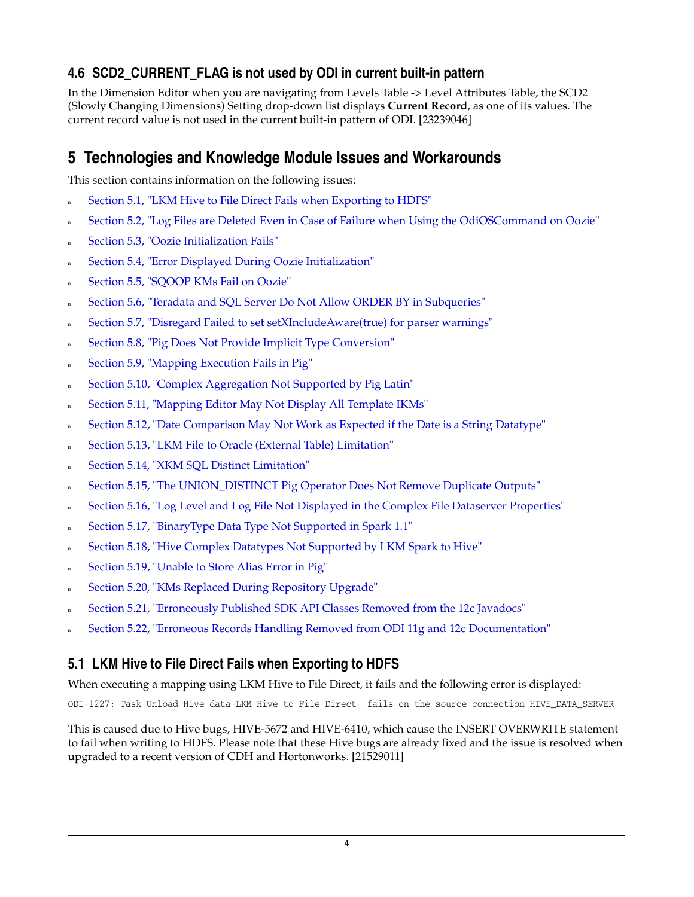## <span id="page-3-1"></span>**4.6 SCD2\_CURRENT\_FLAG is not used by ODI in current built-in pattern**

In the Dimension Editor when you are navigating from Levels Table -> Level Attributes Table, the SCD2 (Slowly Changing Dimensions) Setting drop-down list displays **Current Record**, as one of its values. The current record value is not used in the current built-in pattern of ODI. [23239046]

## <span id="page-3-0"></span>**5 Technologies and Knowledge Module Issues and Workarounds**

This section contains information on the following issues:

- [Section 5.1, "LKM Hive to File Direct Fails when Exporting to HDFS"](#page-3-2)
- n [Section 5.2, "Log Files are Deleted Even in Case of Failure when Using the OdiOSCommand on Oozie"](#page-4-0)
- [Section 5.3, "Oozie Initialization Fails"](#page-4-3)
- [Section 5.4, "Error Displayed During Oozie Initialization"](#page-4-1)
- [Section 5.5, "SQOOP KMs Fail on Oozie"](#page-4-2)
- <sup>n</sup> [Section 5.6, "Teradata and SQL Server Do Not Allow ORDER BY in Subqueries"](#page-5-0)
- <sup>n</sup> [Section 5.7, "Disregard Failed to set setXIncludeAware\(true\) for parser warnings"](#page-5-6)
- [Section 5.8, "Pig Does Not Provide Implicit Type Conversion"](#page-5-1)
- [Section 5.9, "Mapping Execution Fails in Pig"](#page-5-2)
- [Section 5.10, "Complex Aggregation Not Supported by Pig Latin"](#page-5-5)
- [Section 5.11, "Mapping Editor May Not Display All Template IKMs"](#page-5-3)
- [Section 5.12, "Date Comparison May Not Work as Expected if the Date is a String Datatype"](#page-5-4)
- [Section 5.13, "LKM File to Oracle \(External Table\) Limitation"](#page-6-0)
- [Section 5.14, "XKM SQL Distinct Limitation"](#page-6-1)
- [Section 5.15, "The UNION\\_DISTINCT Pig Operator Does Not Remove Duplicate Outputs"](#page-6-2)
- [Section 5.16, "Log Level and Log File Not Displayed in the Complex File Dataserver Properties"](#page-6-3)
- [Section 5.17, "BinaryType Data Type Not Supported in Spark 1.1"](#page-6-4)
- [Section 5.18, "Hive Complex Datatypes Not Supported by LKM Spark to Hive"](#page-6-5)
- <sup>n</sup> [Section 5.19, "Unable to Store Alias Error in Pig"](#page-7-0)
- [Section 5.20, "KMs Replaced During Repository Upgrade"](#page-7-1)
- <sup>n</sup> [Section 5.21, "Erroneously Published SDK API Classes Removed from the 12c Javadocs"](#page-7-2)
- <sup>n</sup> [Section 5.22, "Erroneous Records Handling Removed from ODI 11g and 12c Documentation"](#page-8-1)

#### <span id="page-3-2"></span>**5.1 LKM Hive to File Direct Fails when Exporting to HDFS**

When executing a mapping using LKM Hive to File Direct, it fails and the following error is displayed:

ODI-1227: Task Unload Hive data-LKM Hive to File Direct- fails on the source connection HIVE\_DATA\_SERVER

This is caused due to Hive bugs, HIVE-5672 and HIVE-6410, which cause the INSERT OVERWRITE statement to fail when writing to HDFS. Please note that these Hive bugs are already fixed and the issue is resolved when upgraded to a recent version of CDH and Hortonworks. [21529011]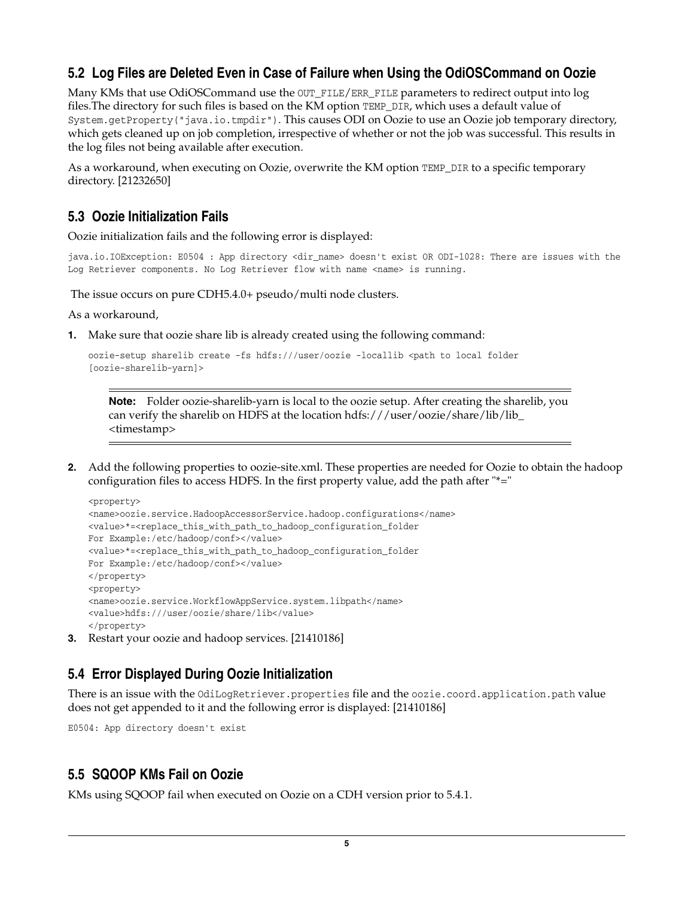### <span id="page-4-0"></span>**5.2 Log Files are Deleted Even in Case of Failure when Using the OdiOSCommand on Oozie**

Many KMs that use OdiOSCommand use the OUT\_FILE/ERR\_FILE parameters to redirect output into log files.The directory for such files is based on the KM option TEMP\_DIR, which uses a default value of System.getProperty("java.io.tmpdir"). This causes ODI on Oozie to use an Oozie job temporary directory, which gets cleaned up on job completion, irrespective of whether or not the job was successful. This results in the log files not being available after execution.

As a workaround, when executing on Oozie, overwrite the KM option TEMP\_DIR to a specific temporary directory. [21232650]

#### <span id="page-4-3"></span>**5.3 Oozie Initialization Fails**

Oozie initialization fails and the following error is displayed:

java.io.IOException: E0504 : App directory <dir\_name> doesn't exist OR ODI-1028: There are issues with the Log Retriever components. No Log Retriever flow with name <name> is running.

The issue occurs on pure CDH5.4.0+ pseudo/multi node clusters.

As a workaround,

**1.** Make sure that oozie share lib is already created using the following command:

```
oozie-setup sharelib create -fs hdfs:///user/oozie -locallib <path to local folder 
[oozie-sharelib-yarn]>
```
**Note:** Folder oozie-sharelib-yarn is local to the oozie setup. After creating the sharelib, you can verify the sharelib on HDFS at the location hdfs:///user/oozie/share/lib/lib\_ <timestamp>

**2.** Add the following properties to oozie-site.xml. These properties are needed for Oozie to obtain the hadoop configuration files to access HDFS. In the first property value, add the path after "\*="

```
<property> 
<name>oozie.service.HadoopAccessorService.hadoop.configurations</name> 
<value>*=<replace_this_with_path_to_hadoop_configuration_folder 
For Example:/etc/hadoop/conf></value>
<value>*=<replace_this_with_path_to_hadoop_configuration_folder 
For Example:/etc/hadoop/conf></value>
</property> 
<property> 
<name>oozie.service.WorkflowAppService.system.libpath</name> 
<value>hdfs:///user/oozie/share/lib</value> 
</property>
```
**3.** Restart your oozie and hadoop services. [21410186]

#### <span id="page-4-1"></span>**5.4 Error Displayed During Oozie Initialization**

There is an issue with the OdiLogRetriever.properties file and the oozie.coord.application.path value does not get appended to it and the following error is displayed: [21410186]

E0504: App directory doesn't exist

#### <span id="page-4-2"></span>**5.5 SQOOP KMs Fail on Oozie**

KMs using SQOOP fail when executed on Oozie on a CDH version prior to 5.4.1.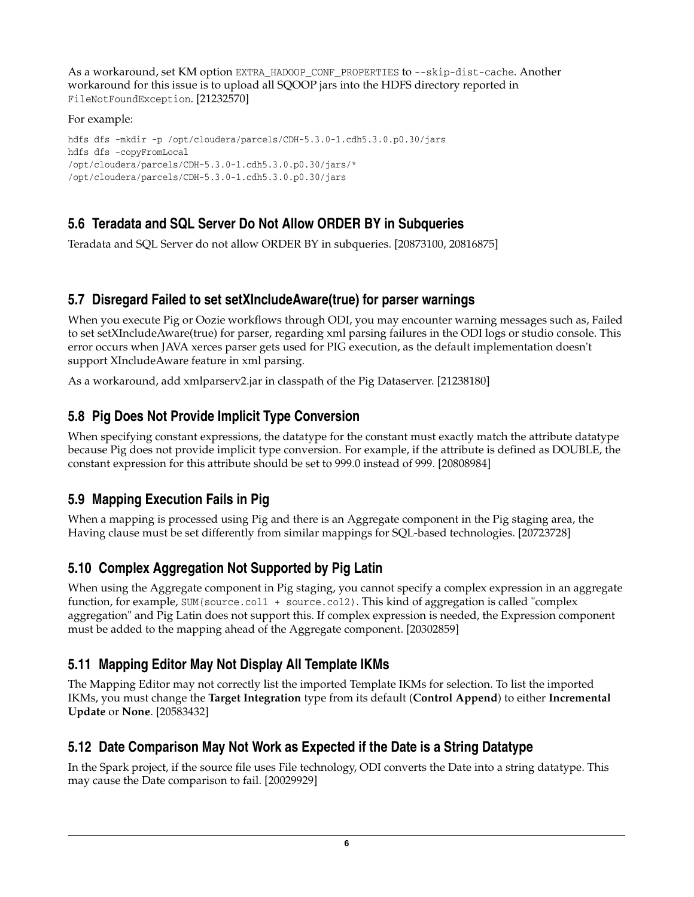As a workaround, set KM option EXTRA\_HADOOP\_CONF\_PROPERTIES to --skip-dist-cache. Another workaround for this issue is to upload all SQOOP jars into the HDFS directory reported in FileNotFoundException. [21232570]

#### For example:

```
hdfs dfs -mkdir -p /opt/cloudera/parcels/CDH-5.3.0-1.cdh5.3.0.p0.30/jars 
hdfs dfs -copyFromLocal 
/opt/cloudera/parcels/CDH-5.3.0-1.cdh5.3.0.p0.30/jars/* 
/opt/cloudera/parcels/CDH-5.3.0-1.cdh5.3.0.p0.30/jars
```
## <span id="page-5-0"></span>**5.6 Teradata and SQL Server Do Not Allow ORDER BY in Subqueries**

Teradata and SQL Server do not allow ORDER BY in subqueries. [20873100, 20816875]

#### <span id="page-5-6"></span>**5.7 Disregard Failed to set setXIncludeAware(true) for parser warnings**

When you execute Pig or Oozie workflows through ODI, you may encounter warning messages such as, Failed to set setXIncludeAware(true) for parser, regarding xml parsing failures in the ODI logs or studio console. This error occurs when JAVA xerces parser gets used for PIG execution, as the default implementation doesn't support XIncludeAware feature in xml parsing.

As a workaround, add xmlparserv2.jar in classpath of the Pig Dataserver. [21238180]

## <span id="page-5-1"></span>**5.8 Pig Does Not Provide Implicit Type Conversion**

When specifying constant expressions, the datatype for the constant must exactly match the attribute datatype because Pig does not provide implicit type conversion. For example, if the attribute is defined as DOUBLE, the constant expression for this attribute should be set to 999.0 instead of 999. [20808984]

## <span id="page-5-2"></span>**5.9 Mapping Execution Fails in Pig**

When a mapping is processed using Pig and there is an Aggregate component in the Pig staging area, the Having clause must be set differently from similar mappings for SQL-based technologies. [20723728]

## <span id="page-5-5"></span>**5.10 Complex Aggregation Not Supported by Pig Latin**

When using the Aggregate component in Pig staging, you cannot specify a complex expression in an aggregate function, for example, SUM(source.col1 + source.col2). This kind of aggregation is called "complex aggregation" and Pig Latin does not support this. If complex expression is needed, the Expression component must be added to the mapping ahead of the Aggregate component. [20302859]

## <span id="page-5-3"></span>**5.11 Mapping Editor May Not Display All Template IKMs**

The Mapping Editor may not correctly list the imported Template IKMs for selection. To list the imported IKMs, you must change the **Target Integration** type from its default (**Control Append**) to either **Incremental Update** or **None**. [20583432]

## <span id="page-5-4"></span>**5.12 Date Comparison May Not Work as Expected if the Date is a String Datatype**

In the Spark project, if the source file uses File technology, ODI converts the Date into a string datatype. This may cause the Date comparison to fail. [20029929]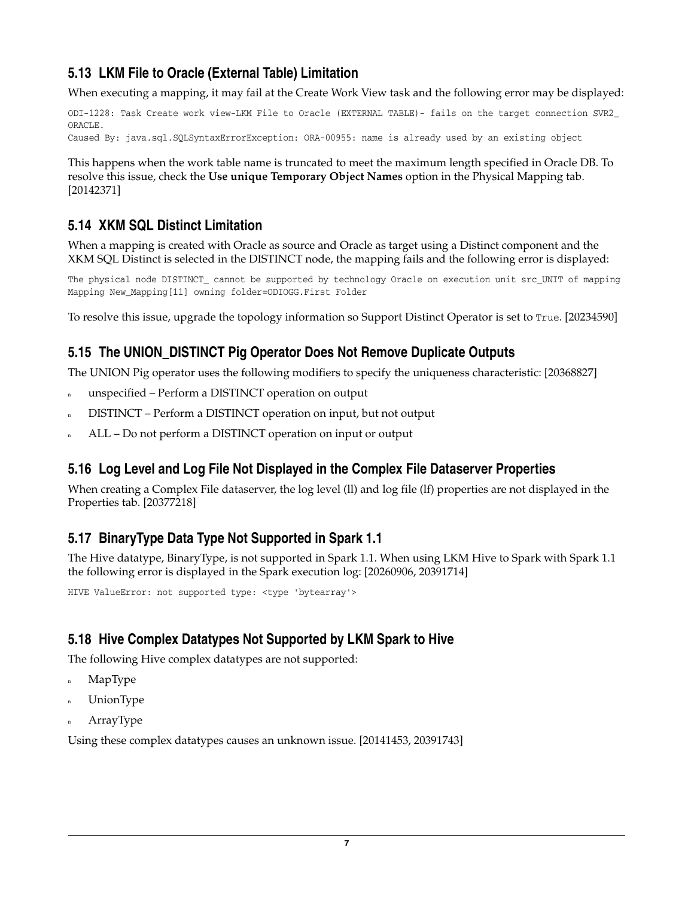## <span id="page-6-0"></span>**5.13 LKM File to Oracle (External Table) Limitation**

When executing a mapping, it may fail at the Create Work View task and the following error may be displayed:

ODI-1228: Task Create work view-LKM File to Oracle (EXTERNAL TABLE)- fails on the target connection SVR2\_ ORACLE.

Caused By: java.sql.SQLSyntaxErrorException: ORA-00955: name is already used by an existing object

This happens when the work table name is truncated to meet the maximum length specified in Oracle DB. To resolve this issue, check the **Use unique Temporary Object Names** option in the Physical Mapping tab. [20142371]

## <span id="page-6-1"></span>**5.14 XKM SQL Distinct Limitation**

When a mapping is created with Oracle as source and Oracle as target using a Distinct component and the XKM SQL Distinct is selected in the DISTINCT node, the mapping fails and the following error is displayed:

The physical node DISTINCT\_ cannot be supported by technology Oracle on execution unit src\_UNIT of mapping Mapping New\_Mapping[11] owning folder=ODIOGG.First Folder

To resolve this issue, upgrade the topology information so Support Distinct Operator is set to True. [20234590]

### <span id="page-6-2"></span>**5.15 The UNION\_DISTINCT Pig Operator Does Not Remove Duplicate Outputs**

The UNION Pig operator uses the following modifiers to specify the uniqueness characteristic: [20368827]

- n unspecified Perform a DISTINCT operation on output
- <sup>n</sup> DISTINCT Perform a DISTINCT operation on input, but not output
- <sup>n</sup> ALL Do not perform a DISTINCT operation on input or output

## <span id="page-6-3"></span>**5.16 Log Level and Log File Not Displayed in the Complex File Dataserver Properties**

When creating a Complex File dataserver, the log level (ll) and log file (lf) properties are not displayed in the Properties tab. [20377218]

## <span id="page-6-4"></span>**5.17 BinaryType Data Type Not Supported in Spark 1.1**

The Hive datatype, BinaryType, is not supported in Spark 1.1. When using LKM Hive to Spark with Spark 1.1 the following error is displayed in the Spark execution log: [20260906, 20391714]

HIVE ValueError: not supported type: <type 'bytearray'>

## <span id="page-6-5"></span>**5.18 Hive Complex Datatypes Not Supported by LKM Spark to Hive**

The following Hive complex datatypes are not supported:

- MapType
- **UnionType**
- ArrayType

Using these complex datatypes causes an unknown issue. [20141453, 20391743]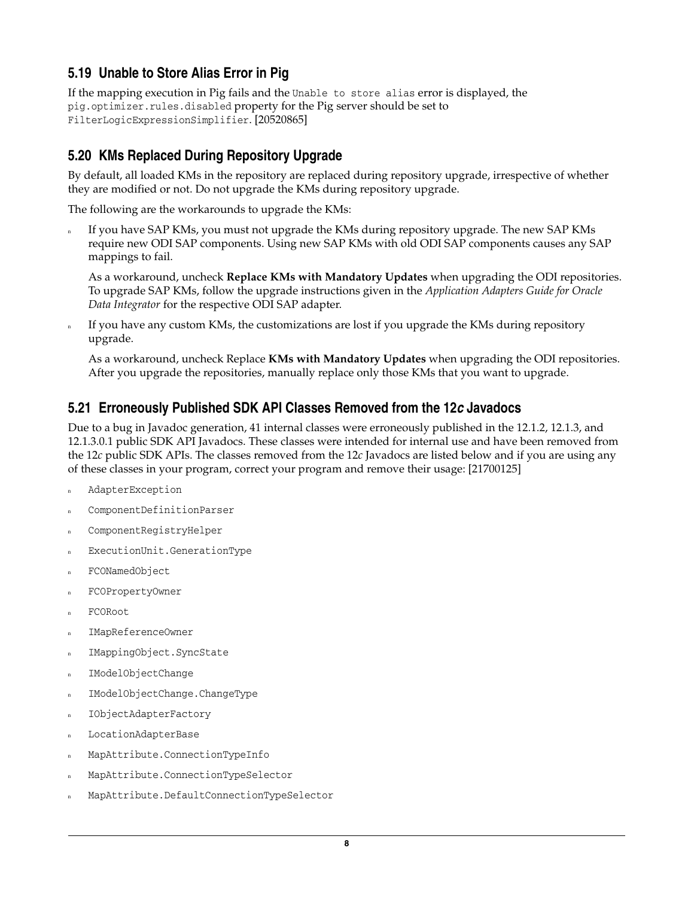## <span id="page-7-0"></span>**5.19 Unable to Store Alias Error in Pig**

If the mapping execution in Pig fails and the Unable to store alias error is displayed, the pig.optimizer.rules.disabled property for the Pig server should be set to FilterLogicExpressionSimplifier. [20520865]

## <span id="page-7-1"></span>**5.20 KMs Replaced During Repository Upgrade**

By default, all loaded KMs in the repository are replaced during repository upgrade, irrespective of whether they are modified or not. Do not upgrade the KMs during repository upgrade.

The following are the workarounds to upgrade the KMs:

If you have SAP KMs, you must not upgrade the KMs during repository upgrade. The new SAP KMs require new ODI SAP components. Using new SAP KMs with old ODI SAP components causes any SAP mappings to fail.

As a workaround, uncheck **Replace KMs with Mandatory Updates** when upgrading the ODI repositories. To upgrade SAP KMs, follow the upgrade instructions given in the *Application Adapters Guide for Oracle Data Integrator* for the respective ODI SAP adapter.

If you have any custom KMs, the customizations are lost if you upgrade the KMs during repository upgrade.

As a workaround, uncheck Replace **KMs with Mandatory Updates** when upgrading the ODI repositories. After you upgrade the repositories, manually replace only those KMs that you want to upgrade.

### <span id="page-7-2"></span>**5.21 Erroneously Published SDK API Classes Removed from the 12***c* **Javadocs**

Due to a bug in Javadoc generation, 41 internal classes were erroneously published in the 12.1.2, 12.1.3, and 12.1.3.0.1 public SDK API Javadocs. These classes were intended for internal use and have been removed from the 12*c* public SDK APIs. The classes removed from the 12*c* Javadocs are listed below and if you are using any of these classes in your program, correct your program and remove their usage: [21700125]

- <sup>n</sup> AdapterException
- ComponentDefinitionParser
- ComponentRegistryHelper
- ExecutionUnit.GenerationType
- FCONamedObject
- <sup>n</sup> FCOPropertyOwner
- FCORoot
- <sup>n</sup> IMapReferenceOwner
- <sup>n</sup> IMappingObject.SyncState
- <sup>n</sup> IModelObjectChange
- <sup>n</sup> IModelObjectChange.ChangeType
- <sup>n</sup> IObjectAdapterFactory
- <sup>n</sup> LocationAdapterBase
- <sup>n</sup> MapAttribute.ConnectionTypeInfo
- <sup>n</sup> MapAttribute.ConnectionTypeSelector
- <sup>n</sup> MapAttribute.DefaultConnectionTypeSelector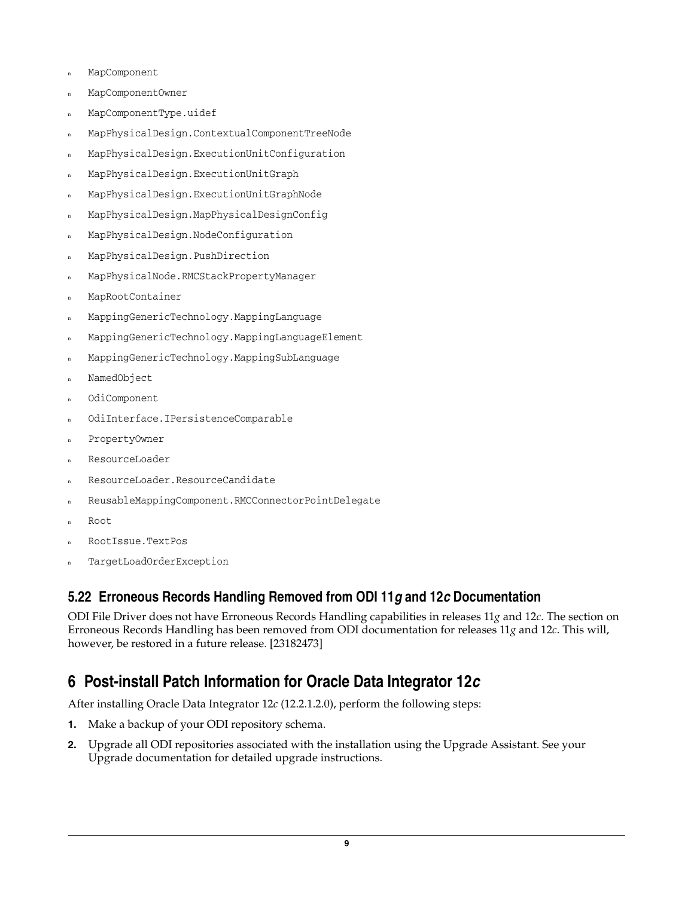- MapComponent
- <sup>n</sup> MapComponentOwner
- <sup>n</sup> MapComponentType.uidef
- <sup>n</sup> MapPhysicalDesign.ContextualComponentTreeNode
- <sup>n</sup> MapPhysicalDesign.ExecutionUnitConfiguration
- <sup>n</sup> MapPhysicalDesign.ExecutionUnitGraph
- <sup>n</sup> MapPhysicalDesign.ExecutionUnitGraphNode
- <sup>n</sup> MapPhysicalDesign.MapPhysicalDesignConfig
- <sup>n</sup> MapPhysicalDesign.NodeConfiguration
- <sup>n</sup> MapPhysicalDesign.PushDirection
- <sup>n</sup> MapPhysicalNode.RMCStackPropertyManager
- <sup>n</sup> MapRootContainer
- <sup>n</sup> MappingGenericTechnology.MappingLanguage
- <sup>n</sup> MappingGenericTechnology.MappingLanguageElement
- <sup>n</sup> MappingGenericTechnology.MappingSubLanguage
- NamedObject
- OdiComponent
- OdiInterface.IPersistenceComparable
- PropertyOwner
- ResourceLoader
- <sup>n</sup> ResourceLoader.ResourceCandidate
- <sup>n</sup> ReusableMappingComponent.RMCConnectorPointDelegate
- Root
- <sup>n</sup> RootIssue.TextPos
- TargetLoadOrderException

#### <span id="page-8-1"></span>**5.22 Erroneous Records Handling Removed from ODI 11***g* **and 12***c* **Documentation**

ODI File Driver does not have Erroneous Records Handling capabilities in releases 11*g* and 12*c*. The section on Erroneous Records Handling has been removed from ODI documentation for releases 11*g* and 12*c*. This will, however, be restored in a future release. [23182473]

## <span id="page-8-0"></span>**6 Post-install Patch Information for Oracle Data Integrator 12***c*

After installing Oracle Data Integrator 12*c* (12.2.1.2.0), perform the following steps:

- **1.** Make a backup of your ODI repository schema.
- **2.** Upgrade all ODI repositories associated with the installation using the Upgrade Assistant. See your Upgrade documentation for detailed upgrade instructions.